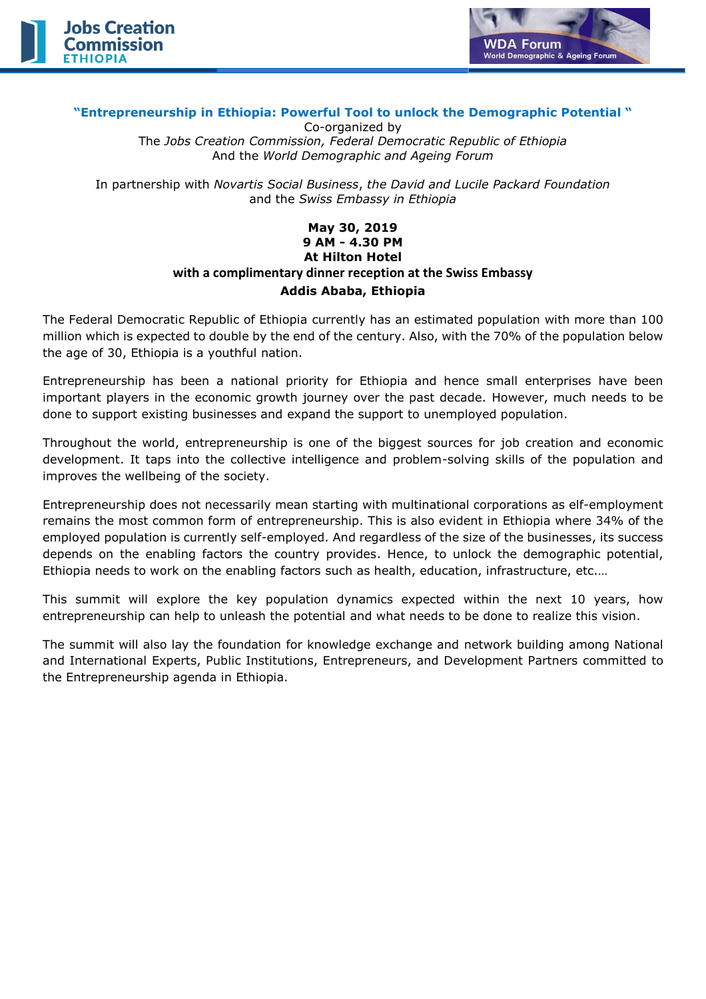



## **"Entrepreneurship in Ethiopia: Powerful Tool to unlock the Demographic Potential "**

Co-organized by The *Jobs Creation Commission, Federal Democratic Republic of Ethiopia* And the *World Demographic and Ageing Forum*

In partnership with *Novartis Social Business*, *the David and Lucile Packard Foundation* and the *Swiss Embassy in Ethiopia*

## **May 30, 2019 9 AM - 4.30 PM At Hilton Hotel with a complimentary dinner reception at the Swiss Embassy Addis Ababa, Ethiopia**

The Federal Democratic Republic of Ethiopia currently has an estimated population with more than 100 million which is expected to double by the end of the century. Also, with the 70% of the population below the age of 30, Ethiopia is a youthful nation.

Entrepreneurship has been a national priority for Ethiopia and hence small enterprises have been important players in the economic growth journey over the past decade. However, much needs to be done to support existing businesses and expand the support to unemployed population.

Throughout the world, entrepreneurship is one of the biggest sources for job creation and economic development. It taps into the collective intelligence and problem-solving skills of the population and improves the wellbeing of the society.

Entrepreneurship does not necessarily mean starting with multinational corporations as elf-employment remains the most common form of entrepreneurship. This is also evident in Ethiopia where 34% of the employed population is currently self-employed. And regardless of the size of the businesses, its success depends on the enabling factors the country provides. Hence, to unlock the demographic potential, Ethiopia needs to work on the enabling factors such as health, education, infrastructure, etc.…

This summit will explore the key population dynamics expected within the next 10 years, how entrepreneurship can help to unleash the potential and what needs to be done to realize this vision.

The summit will also lay the foundation for knowledge exchange and network building among National and International Experts, Public Institutions, Entrepreneurs, and Development Partners committed to the Entrepreneurship agenda in Ethiopia.